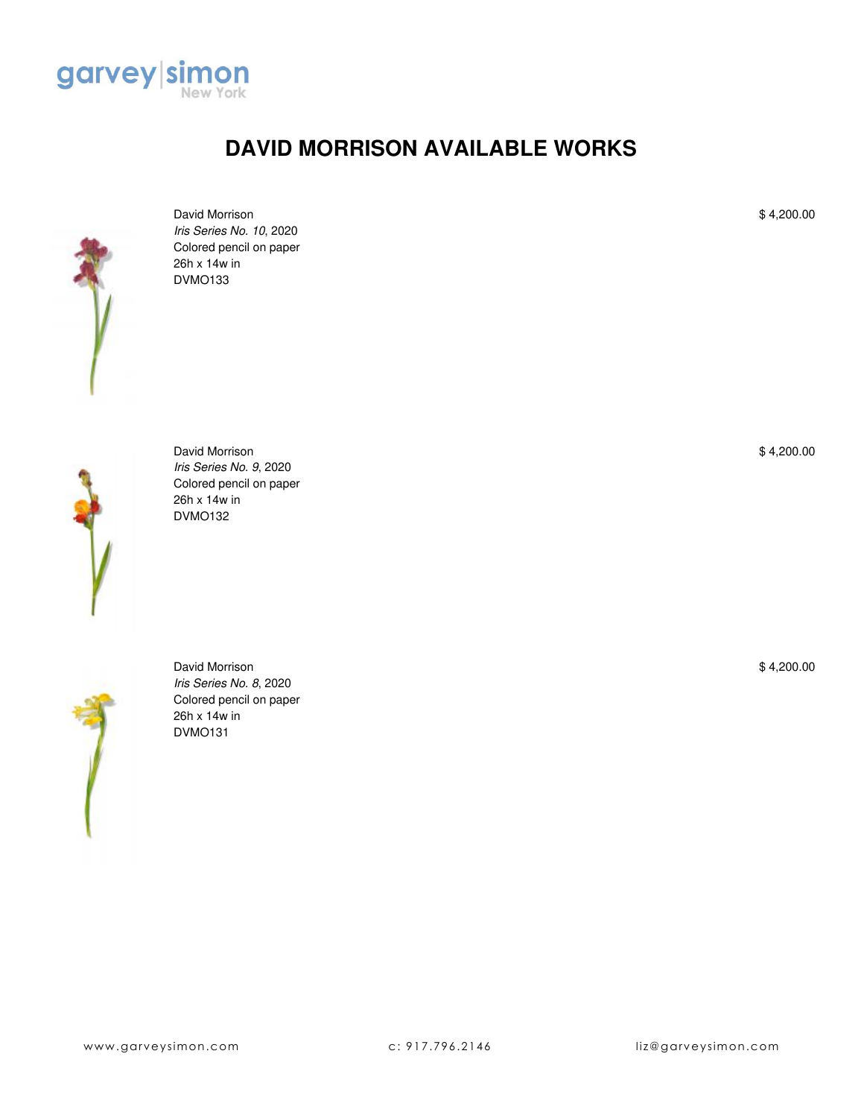

## **DAVID MORRISON AVAILABLE WORKS**



David Morrison *Iris Series No. 10*, 2020 Colored pencil on paper 26h x 14w in DVMO133



David Morrison *Iris Series No. 9*, 2020 Colored pencil on paper 26h x 14w in DVMO132



David Morrison *Iris Series No. 8*, 2020 Colored pencil on paper 26h x 14w in DVMO131

\$ 4,200.00

\$ 4,200.00

\$ 4,200.00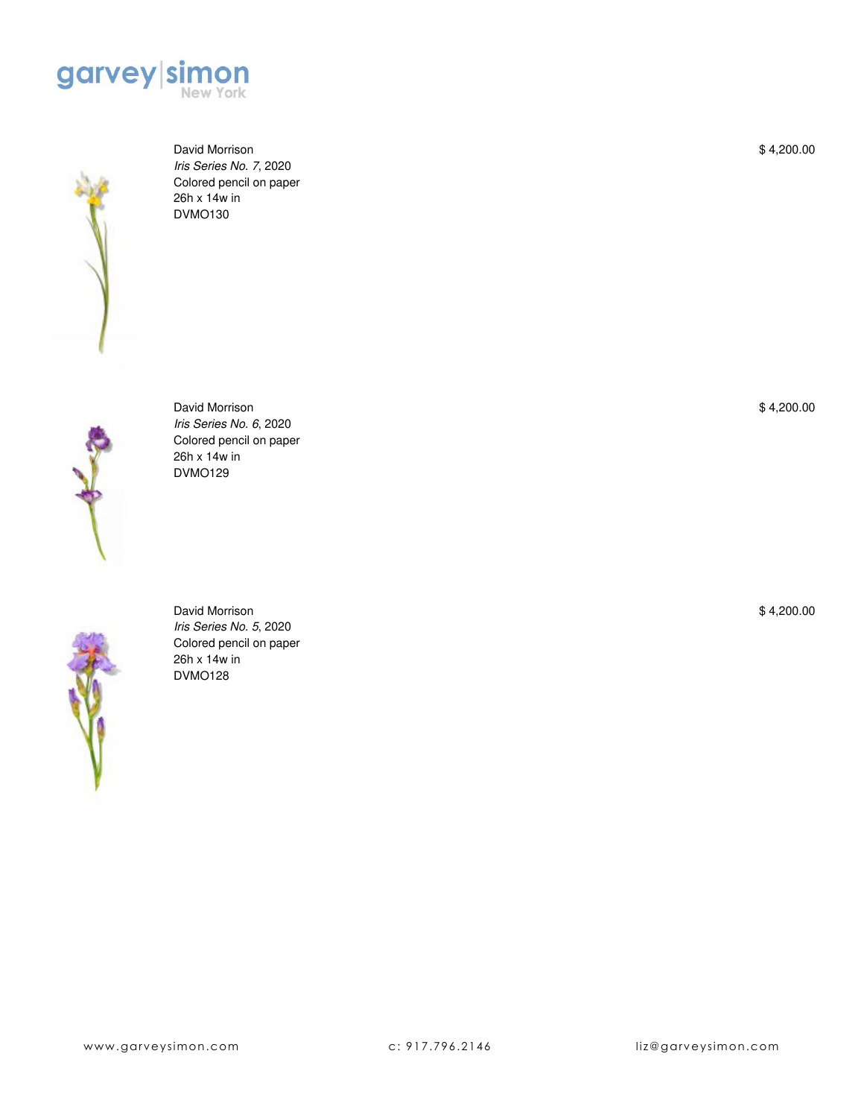



David Morrison *Iris Series No. 7*, 2020 Colored pencil on paper 26h x 14w in DVMO130



David Morrison *Iris Series No. 6*, 2020 Colored pencil on paper 26h x 14w in DVMO129



David Morrison *Iris Series No. 5*, 2020 Colored pencil on paper 26h x 14w in DVMO128

\$ 4,200.00

\$ 4,200.00

\$ 4,200.00

www.garveysimon.com c: 917.796.2146 liz@garveysimon.com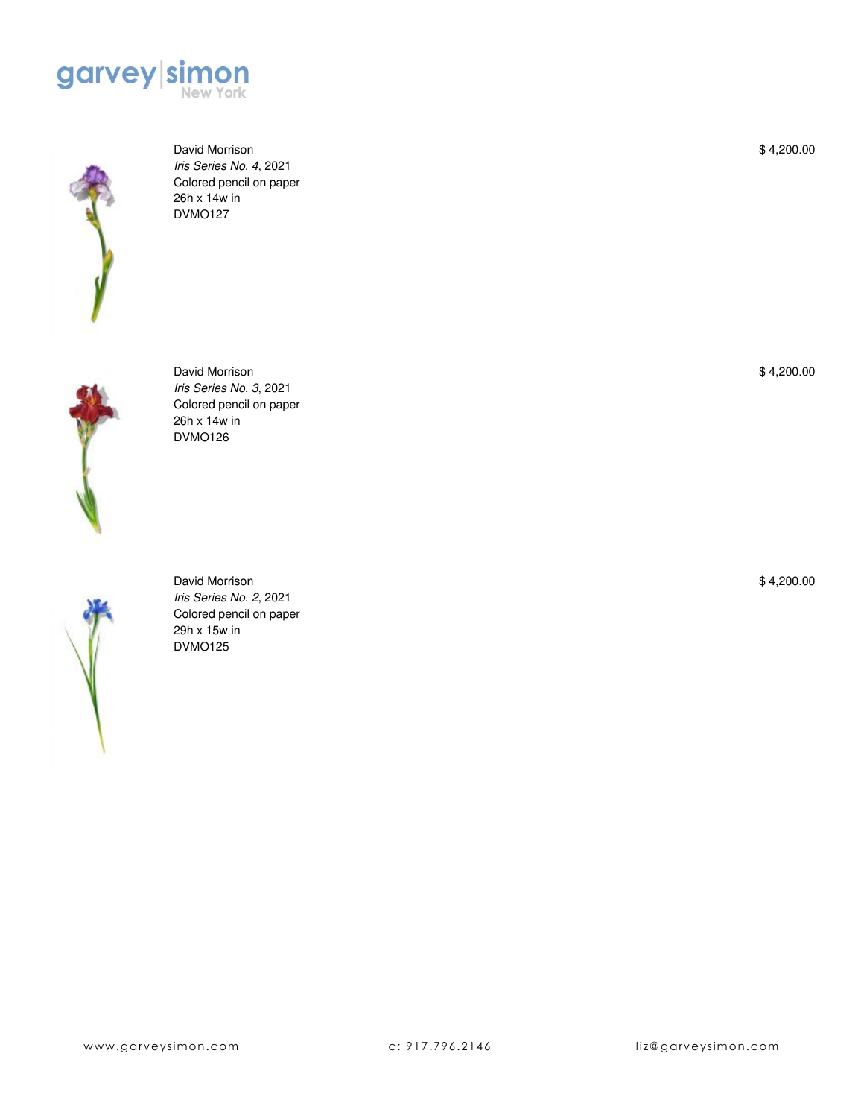



David Morrison *Iris Series No. 4*, 2021 Colored pencil on paper 26h x 14w in DVMO127



David Morrison *Iris Series No. 3*, 2021 Colored pencil on paper 26h x 14w in DVMO126



David Morrison *Iris Series No. 2*, 2021 Colored pencil on paper 29h x 15w in DVMO125

\$ 4,200.00

\$ 4,200.00

\$ 4,200.00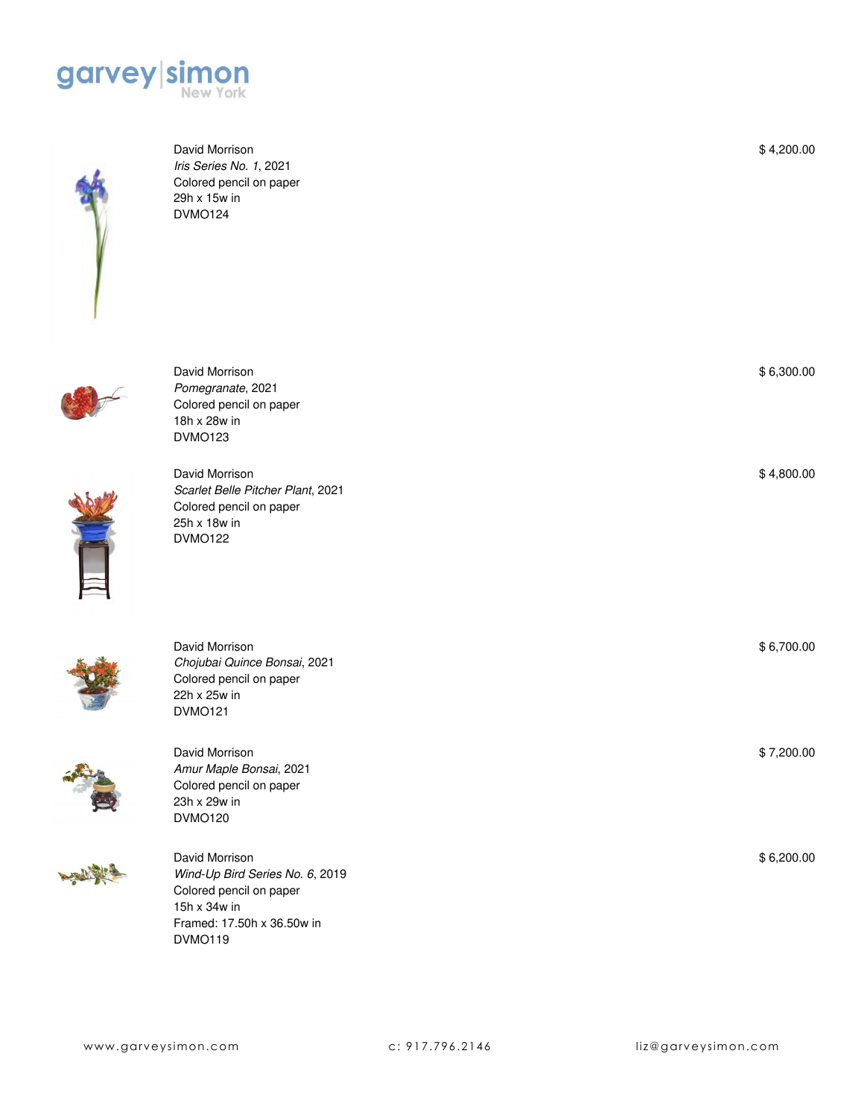



David Morrison *Iris Series No. 1*, 2021 Colored pencil on paper 29h x 15w in DVMO124

David Morrison *Pomegranate*, 2021 Colored pencil on paper

18h x 28w in DVMO123

David Morrison

22h x 25w in DVMO121





David Morrison *Scarlet Belle Pitcher Plant*, 2021 Colored pencil on paper 25h x 18w in DVMO122





| David Morrison          |
|-------------------------|
| Amur Maple Bonsai, 2021 |
| Colored pencil on paper |
| 23h x 29w in            |
| <b>DVMO120</b>          |

*Chojubai Quince Bonsai*, 2021 Colored pencil on paper



David Morrison *Wind-Up Bird Series No. 6*, 2019 Colored pencil on paper 15h x 34w in Framed: 17.50h x 36.50w in DVMO119

\$ 4,200.00

| \$6,300.00 |
|------------|
|            |

\$ 4,800.00

\$ 6,700.00

\$ 7,200.00

\$ 6,200.00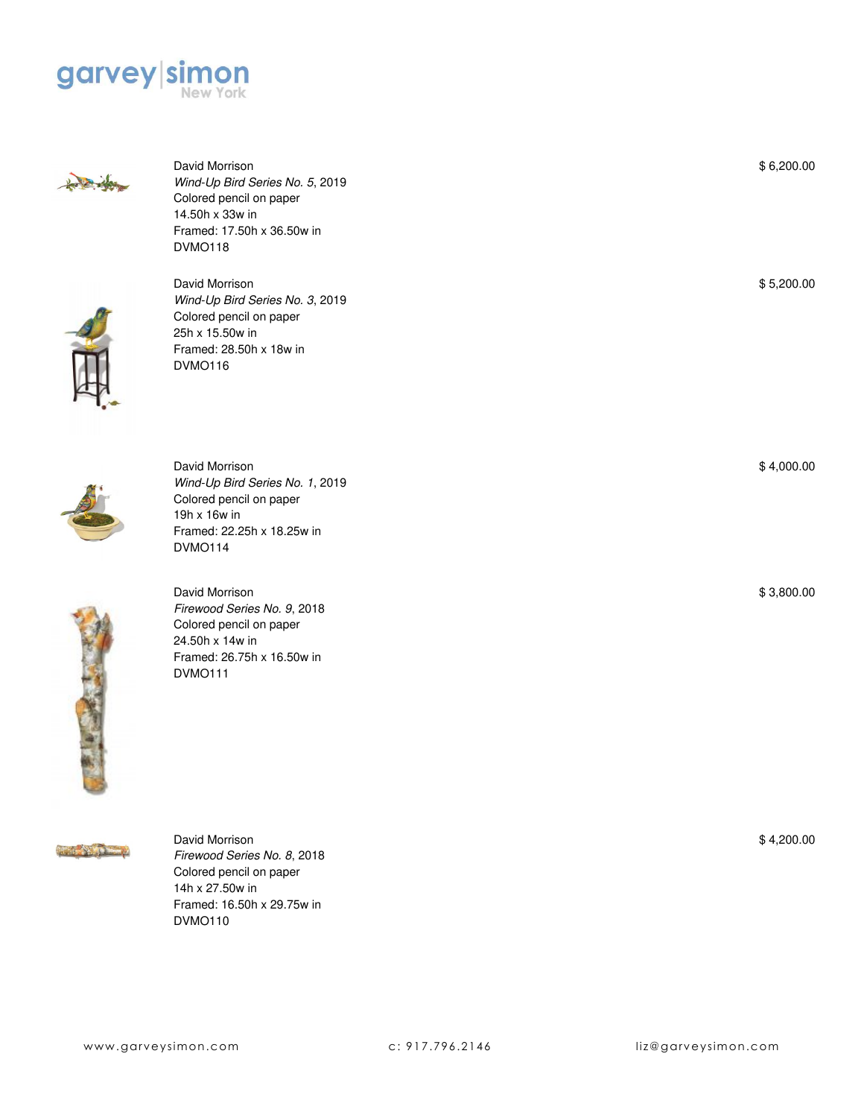



David Morrison *Wind-Up Bird Series No. 5*, 2019 Colored pencil on paper 14.50h x 33w in Framed: 17.50h x 36.50w in DVMO118



David Morrison *Wind-Up Bird Series No. 3*, 2019 Colored pencil on paper 25h x 15.50w in Framed: 28.50h x 18w in DVMO116



David Morrison *Wind-Up Bird Series No. 1*, 2019 Colored pencil on paper 19h x 16w in Framed: 22.25h x 18.25w in DVMO114



David Morrison *Firewood Series No. 9*, 2018 Colored pencil on paper 24.50h x 14w in Framed: 26.75h x 16.50w in DVMO111



David Morrison *Firewood Series No. 8*, 2018 Colored pencil on paper 14h x 27.50w in Framed: 16.50h x 29.75w in DVMO110

\$ 4,200.00

\$ 5,200.00

\$ 4,000.00

\$ 3,800.00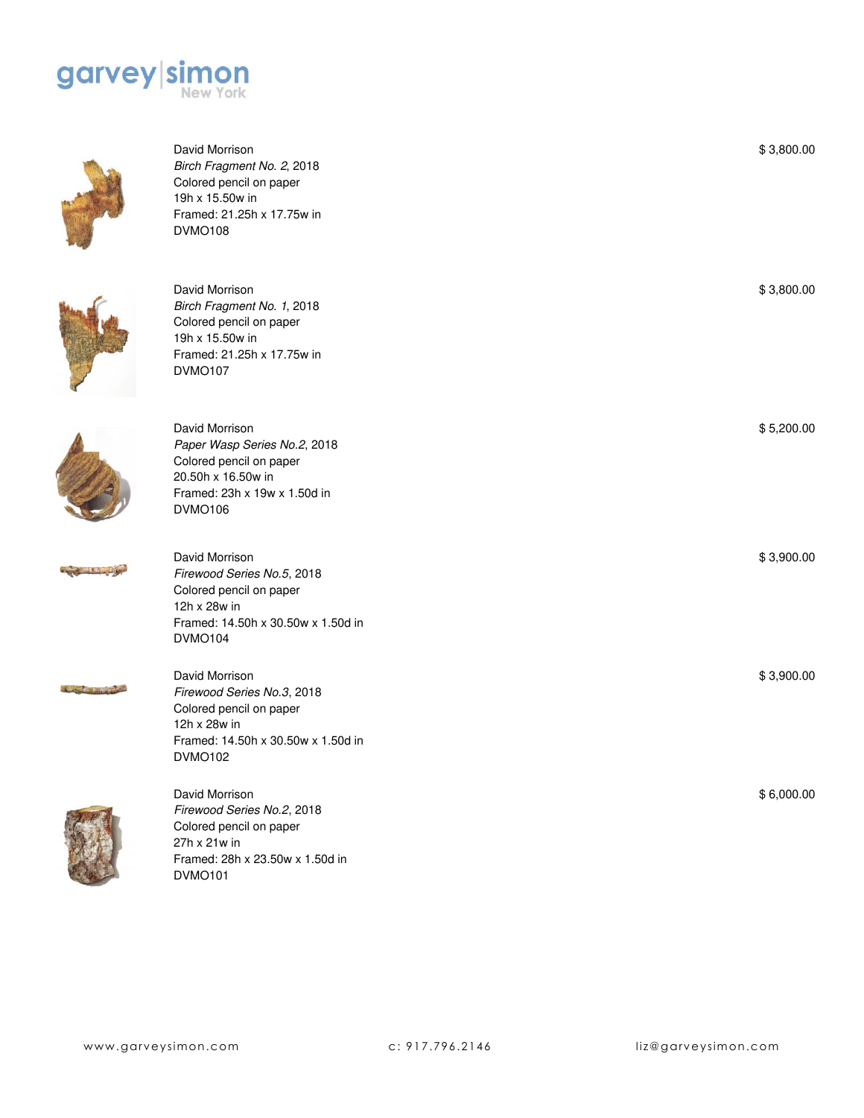



| David Morrison<br>Birch Fragment No. 2, 2018<br>Colored pencil on paper<br>19h x 15.50w in<br>Framed: 21.25h x 17.75w in<br><b>DVMO108</b>        | \$3,800.00 |
|---------------------------------------------------------------------------------------------------------------------------------------------------|------------|
| David Morrison<br>Birch Fragment No. 1, 2018<br>Colored pencil on paper<br>19h x 15.50w in<br>Framed: 21.25h x 17.75w in<br><b>DVMO107</b>        | \$3,800.00 |
| David Morrison<br>Paper Wasp Series No.2, 2018<br>Colored pencil on paper<br>20.50h x 16.50w in<br>Framed: 23h x 19w x 1.50d in<br><b>DVMO106</b> | \$5,200.00 |
| David Morrison<br>Firewood Series No.5, 2018<br>Colored pencil on paper<br>12h x 28w in<br>Framed: 14.50h x 30.50w x 1.50d in<br><b>DVMO104</b>   | \$3,900.00 |
| David Morrison<br>Firewood Series No.3, 2018<br>Colored pencil on paper<br>12h x 28w in<br>Framed: 14.50h x 30.50w x 1.50d in<br><b>DVMO102</b>   | \$3,900.00 |
| David Morrison<br>Firewood Series No.2, 2018<br>Colored pencil on paper<br>27h x 21w in                                                           | \$6,000.00 |

Framed: 28h x 23.50w x 1.50d in

DVMO101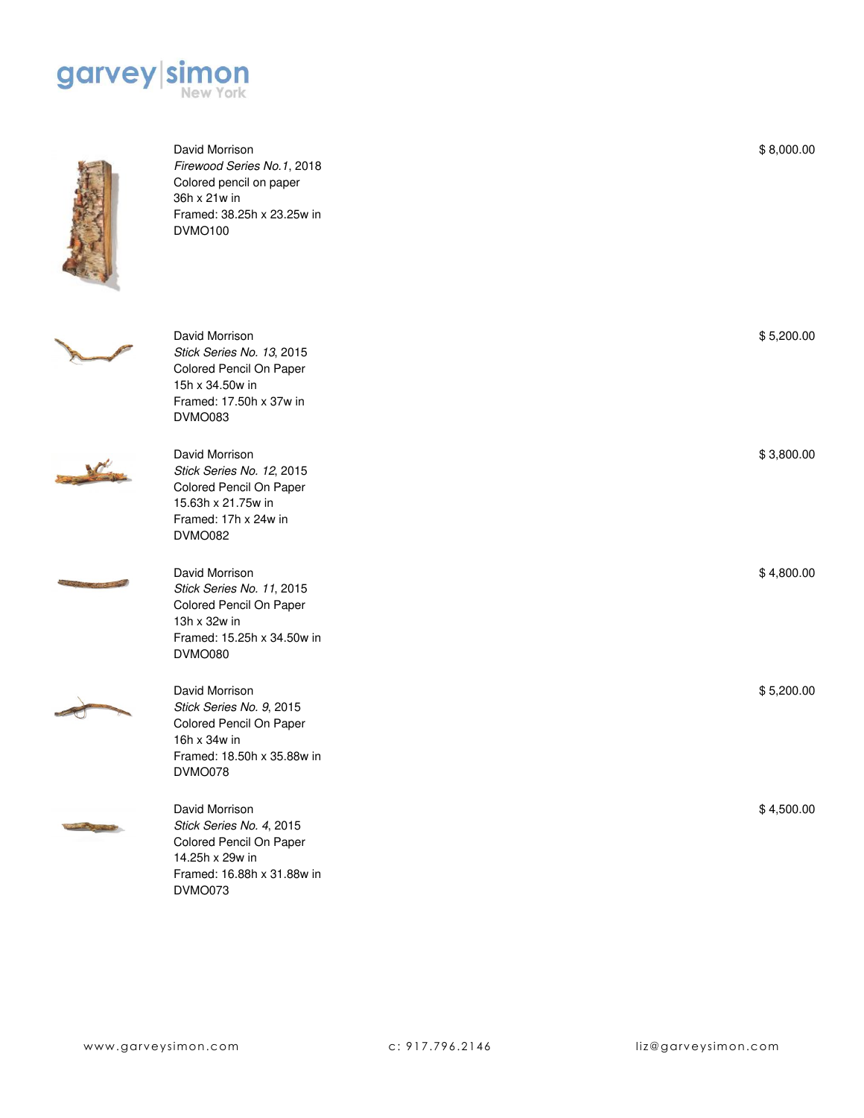



David Morrison *Firewood Series No.1*, 2018 Colored pencil on paper 36h x 21w in Framed: 38.25h x 23.25w in DVMO100



David Morrison *Stick Series No. 13*, 2015 Colored Pencil On Paper 15h x 34.50w in Framed: 17.50h x 37w in DVMO083

*Stick Series No. 12*, 2015 Colored Pencil On Paper 15.63h x 21.75w in Framed: 17h x 24w in

David Morrison

DVMO082





David Morrison *Stick Series No. 11*, 2015 Colored Pencil On Paper 13h x 32w in Framed: 15.25h x 34.50w in DVMO080



David Morrison *Stick Series No. 9*, 2015 Colored Pencil On Paper 16h x 34w in Framed: 18.50h x 35.88w in DVMO078



David Morrison *Stick Series No. 4*, 2015 Colored Pencil On Paper 14.25h x 29w in Framed: 16.88h x 31.88w in DVMO073

\$ 8,000.00

\$ 5,200.00

\$ 3,800.00

\$ 4,800.00

\$ 5,200.00

\$ 4,500.00